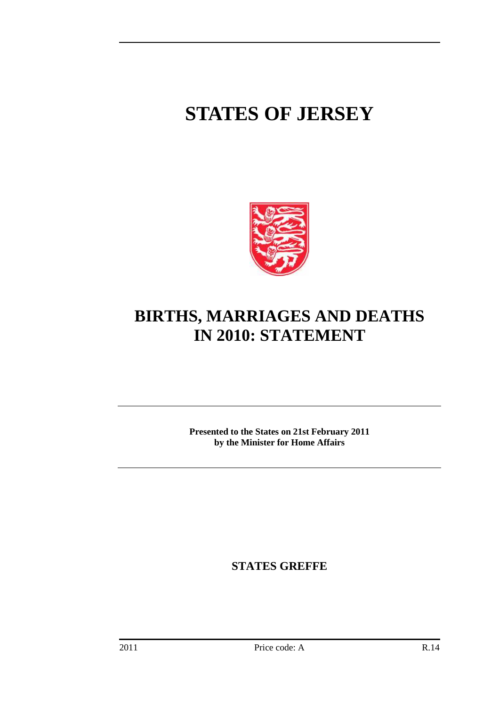## **STATES OF JERSEY**



## **BIRTHS, MARRIAGES AND DEATHS IN 2010: STATEMENT**

**Presented to the States on 21st February 2011 by the Minister for Home Affairs** 

**STATES GREFFE**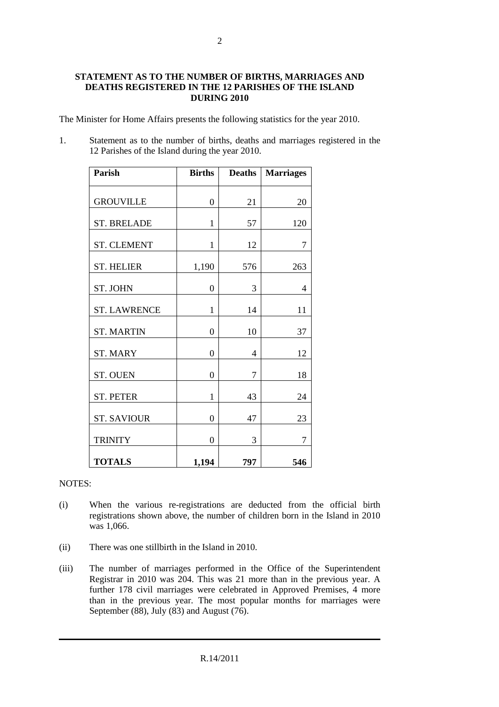## **STATEMENT AS TO THE NUMBER OF BIRTHS, MARRIAGES AND DEATHS REGISTERED IN THE 12 PARISHES OF THE ISLAND DURING 2010**

The Minister for Home Affairs presents the following statistics for the year 2010.

1. Statement as to the number of births, deaths and marriages registered in the 12 Parishes of the Island during the year 2010.

| <b>Parish</b>       | <b>Births</b>  | <b>Deaths</b> | <b>Marriages</b> |
|---------------------|----------------|---------------|------------------|
| <b>GROUVILLE</b>    | $\overline{0}$ | 21            | 20               |
| <b>ST. BRELADE</b>  | $\mathbf{1}$   | 57            | 120              |
| <b>ST. CLEMENT</b>  | $\mathbf{1}$   | 12            | 7                |
| <b>ST. HELIER</b>   | 1,190          | 576           | 263              |
| <b>ST. JOHN</b>     | 0              | 3             | 4                |
| <b>ST. LAWRENCE</b> | 1              | 14            | 11               |
| <b>ST. MARTIN</b>   | 0              | 10            | 37               |
| <b>ST. MARY</b>     | 0              | 4             | 12               |
| <b>ST. OUEN</b>     | 0              | 7             | 18               |
| <b>ST. PETER</b>    | $\mathbf{1}$   | 43            | 24               |
| <b>ST. SAVIOUR</b>  | $\overline{0}$ | 47            | 23               |
| <b>TRINITY</b>      | $\overline{0}$ | 3             | 7                |
| <b>TOTALS</b>       | 1,194          | 797           | 546              |

## NOTES:

- (i) When the various re-registrations are deducted from the official birth registrations shown above, the number of children born in the Island in 2010 was 1,066.
- (ii) There was one stillbirth in the Island in 2010.
- (iii) The number of marriages performed in the Office of the Superintendent Registrar in 2010 was 204. This was 21 more than in the previous year. A further 178 civil marriages were celebrated in Approved Premises, 4 more than in the previous year. The most popular months for marriages were September (88), July (83) and August  $(76)$ .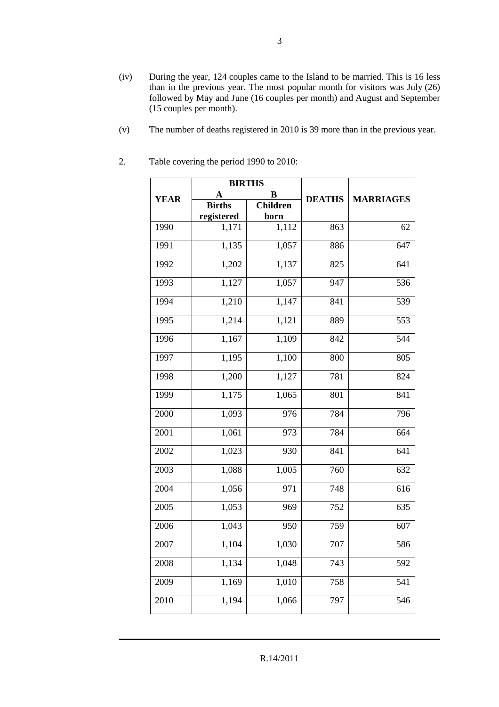- (iv) During the year, 124 couples came to the Island to be married. This is 16 less than in the previous year. The most popular month for visitors was July (26) followed by May and June (16 couples per month) and August and September (15 couples per month).
- (v) The number of deaths registered in 2010 is 39 more than in the previous year.

|               | <b>BIRTHS</b> |                 |               |                  |
|---------------|---------------|-----------------|---------------|------------------|
| <b>YEAR</b>   | A             | B               | <b>DEATHS</b> | <b>MARRIAGES</b> |
|               | <b>Births</b> | <b>Children</b> |               |                  |
|               | registered    | born            |               |                  |
| 1990          | 1,171         | 1,112           | 863           | 62               |
| 1991          | 1,135         | 1,057           | 886           | 647              |
| 1992          | 1,202         | 1,137           | 825           | 641              |
| 1993          | 1,127         | 1,057           | 947           | 536              |
| 1994          | 1,210         | 1,147           | 841           | 539              |
| 1995          | 1,214         | 1,121           | 889           | 553              |
| 1996          | 1,167         | 1,109           | 842           | 544              |
| 1997          | 1,195         | 1,100           | 800           | 805              |
| 1998          | 1,200         | 1,127           | 781           | 824              |
| 1999          | 1,175         | 1,065           | 801           | 841              |
| 2000          | 1,093         | 976             | 784           | 796              |
| 2001          | 1,061         | 973             | 784           | 664              |
| 2002          | 1,023         | 930             | 841           | 641              |
| 2003          | 1,088         | 1,005           | 760           | 632              |
| 2004          | 1,056         | 971             | 748           | 616              |
| $\sqrt{2005}$ | 1,053         | 969             | 752           | $\overline{635}$ |
| 2006          | 1,043         | 950             | 759           | 607              |
| 2007          | 1,104         | 1,030           | 707           | 586              |
| 2008          | 1,134         | 1,048           | 743           | 592              |
| 2009          | 1,169         | 1,010           | 758           | 541              |
| 2010          | 1,194         | 1,066           | 797           | 546              |

2. Table covering the period 1990 to 2010: